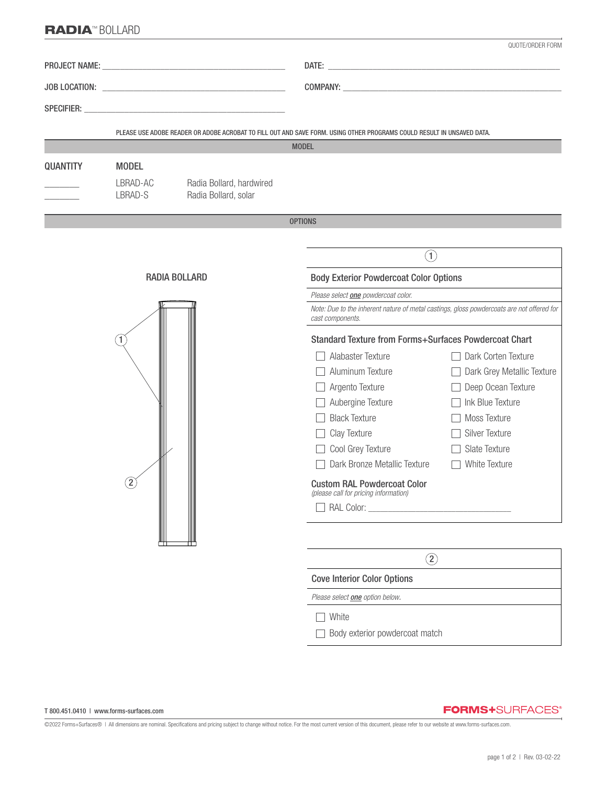## RADIA™ BOLLARD

|                 |                      |                                                  |                                                                                                                                        | QUOTE/ORDER FORM                   |
|-----------------|----------------------|--------------------------------------------------|----------------------------------------------------------------------------------------------------------------------------------------|------------------------------------|
|                 |                      |                                                  |                                                                                                                                        |                                    |
|                 |                      |                                                  |                                                                                                                                        |                                    |
|                 |                      |                                                  |                                                                                                                                        |                                    |
|                 |                      |                                                  |                                                                                                                                        |                                    |
|                 |                      |                                                  | PLEASE USE ADOBE READER OR ADOBE ACROBAT TO FILL OUT AND SAVE FORM. USING OTHER PROGRAMS COULD RESULT IN UNSAVED DATA.<br><b>MODEL</b> |                                    |
| <b>QUANTITY</b> | <b>MODEL</b>         |                                                  |                                                                                                                                        |                                    |
|                 | LBRAD-AC<br>LBRAD-S  | Radia Bollard, hardwired<br>Radia Bollard, solar |                                                                                                                                        |                                    |
|                 |                      |                                                  | <b>OPTIONS</b>                                                                                                                         |                                    |
|                 |                      |                                                  |                                                                                                                                        |                                    |
|                 | <b>RADIA BOLLARD</b> |                                                  | $\left( \widehat{1}\right)$                                                                                                            |                                    |
|                 |                      |                                                  | <b>Body Exterior Powdercoat Color Options</b>                                                                                          |                                    |
|                 |                      |                                                  | Please select <b>one</b> powdercoat color.                                                                                             |                                    |
|                 |                      |                                                  | Note: Due to the inherent nature of metal castings, gloss powdercoats are not offered for<br>cast components.                          |                                    |
|                 |                      |                                                  | <b>Standard Texture from Forms+Surfaces Powdercoat Chart</b>                                                                           |                                    |
|                 |                      |                                                  | Alabaster Texture                                                                                                                      | Dark Corten Texture                |
|                 |                      |                                                  | Aluminum Texture                                                                                                                       | Dark Grey Metallic Texture         |
|                 |                      |                                                  | $\Box$ Argento Texture                                                                                                                 | Deep Ocean Texture<br>$\mathbf{L}$ |
|                 |                      |                                                  | Aubergine Texture                                                                                                                      | Ink Blue Texture<br>$\mathbf{L}$   |
|                 |                      |                                                  | $\Box$ Black Texture                                                                                                                   | Moss Texture                       |
|                 |                      |                                                  | $\Box$ Clay Texture                                                                                                                    | Silver Texture<br>$\mathbf{1}$     |
|                 |                      |                                                  | □ Cool Grey Texture                                                                                                                    | Slate Texture<br>$\mathbf{I}$      |
|                 |                      |                                                  | Dark Bronze Metallic Texture                                                                                                           | White Texture<br>$\mathbf{L}$      |
|                 | $\overline{2}$       |                                                  | <b>Custom RAL Powdercoat Color</b><br>(please call for pricing information)                                                            |                                    |
|                 |                      |                                                  |                                                                                                                                        |                                    |
|                 |                      |                                                  |                                                                                                                                        |                                    |
|                 |                      |                                                  |                                                                                                                                        |                                    |
|                 |                      |                                                  | $\circled{2}$                                                                                                                          |                                    |
|                 |                      |                                                  | <b>Cove Interior Color Options</b>                                                                                                     |                                    |
|                 |                      |                                                  | Please select <b>one</b> option below.                                                                                                 |                                    |
|                 |                      |                                                  | White                                                                                                                                  |                                    |
|                 |                      |                                                  | Body exterior powdercoat match                                                                                                         |                                    |
|                 |                      |                                                  |                                                                                                                                        |                                    |

**FORMS+**SURFACES®

©2022 Forms+Surfaces® | All dimensions are nominal. Specifications and pricing subject to change without notice. For the most current version of this document, please refer to our website at www.forms-surfaces.com.